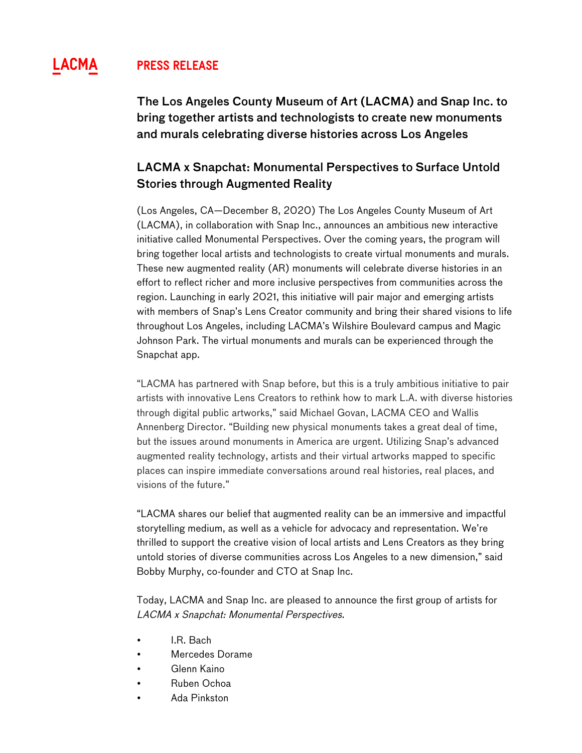# **^ Press Release**

The Los Angeles County Museum of Art (LACMA) and Snap Inc. to bring together artists and technologists to create new monuments and murals celebrating diverse histories across Los Angeles

## LACMA x Snapchat: Monumental Perspectives to Surface Untold Stories through Augmented Reality

(Los Angeles, CA—December 8, 2020) The Los Angeles County Museum of Art (LACMA), in collaboration with Snap Inc., announces an ambitious new interactive initiative called Monumental Perspectives. Over the coming years, the program will bring together local artists and technologists to create virtual monuments and murals. These new augmented reality (AR) monuments will celebrate diverse histories in an effort to reflect richer and more inclusive perspectives from communities across the region. Launching in early 2021, this initiative will pair major and emerging artists with members of Snap's Lens Creator community and bring their shared visions to life throughout Los Angeles, including LACMA's Wilshire Boulevard campus and Magic Johnson Park. The virtual monuments and murals can be experienced through the Snapchat app.

"LACMA has partnered with Snap before, but this is a truly ambitious initiative to pair artists with innovative Lens Creators to rethink how to mark L.A. with diverse histories through digital public artworks," said Michael Govan, LACMA CEO and Wallis Annenberg Director. "Building new physical monuments takes a great deal of time, but the issues around monuments in America are urgent. Utilizing Snap's advanced augmented reality technology, artists and their virtual artworks mapped to specific places can inspire immediate conversations around real histories, real places, and visions of the future."

"LACMA shares our belief that augmented reality can be an immersive and impactful storytelling medium, as well as a vehicle for advocacy and representation. We're thrilled to support the creative vision of local artists and Lens Creators as they bring untold stories of diverse communities across Los Angeles to a new dimension," said Bobby Murphy, co-founder and CTO at Snap Inc.

Today, LACMA and Snap Inc. are pleased to announce the first group of artists for LACMA x Snapchat: Monumental Perspectives.

- I.R. Bach
- Mercedes Dorame
- Glenn Kaino
- Ruben Ochoa
- Ada Pinkston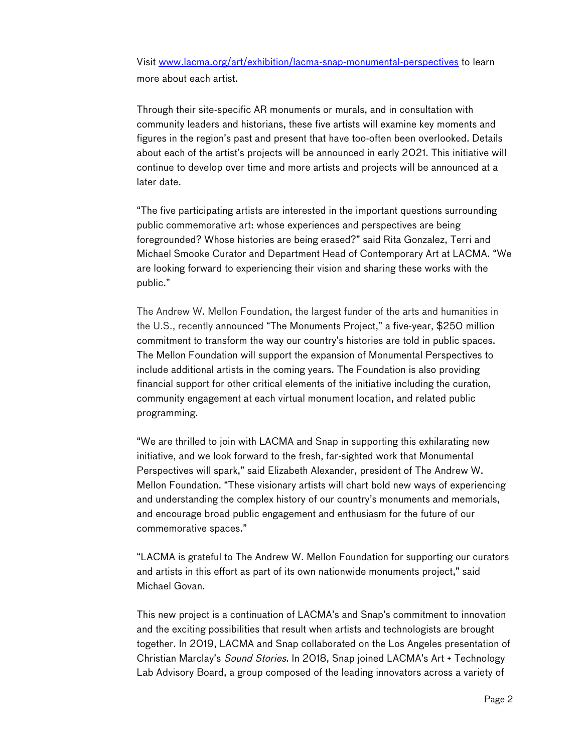Visit www.lacma.org/art/exhibition/lacma-snap-monumental-perspectives to learn more about each artist.

Through their site-specific AR monuments or murals, and in consultation with community leaders and historians, these five artists will examine key moments and figures in the region's past and present that have too-often been overlooked. Details about each of the artist's projects will be announced in early 2021. This initiative will continue to develop over time and more artists and projects will be announced at a later date.

"The five participating artists are interested in the important questions surrounding public commemorative art: whose experiences and perspectives are being foregrounded? Whose histories are being erased?" said Rita Gonzalez, Terri and Michael Smooke Curator and Department Head of Contemporary Art at LACMA. "We are looking forward to experiencing their vision and sharing these works with the public."

The Andrew W. Mellon Foundation, the largest funder of the arts and humanities in the U.S., recently announced "The Monuments Project," a five-year, \$250 million commitment to transform the way our country's histories are told in public spaces. The Mellon Foundation will support the expansion of Monumental Perspectives to include additional artists in the coming years. The Foundation is also providing financial support for other critical elements of the initiative including the curation, community engagement at each virtual monument location, and related public programming.

"We are thrilled to join with LACMA and Snap in supporting this exhilarating new initiative, and we look forward to the fresh, far-sighted work that Monumental Perspectives will spark," said Elizabeth Alexander, president of The Andrew W. Mellon Foundation. "These visionary artists will chart bold new ways of experiencing and understanding the complex history of our country's monuments and memorials, and encourage broad public engagement and enthusiasm for the future of our commemorative spaces."

"LACMA is grateful to The Andrew W. Mellon Foundation for supporting our curators and artists in this effort as part of its own nationwide monuments project," said Michael Govan.

This new project is a continuation of LACMA's and Snap's commitment to innovation and the exciting possibilities that result when artists and technologists are brought together. In 2019, LACMA and Snap collaborated on the Los Angeles presentation of Christian Marclay's Sound Stories. In 2018, Snap joined LACMA's Art + Technology Lab Advisory Board, a group composed of the leading innovators across a variety of